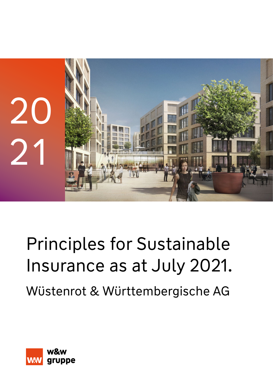

# Principles for Sustainable Insurance as at July 2021. Wüstenrot & Württembergische AG

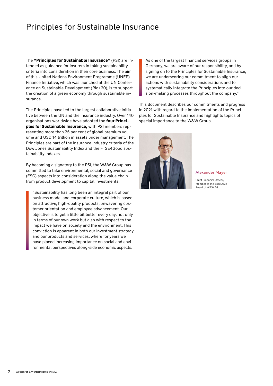# Principles for Sustainable Insurance

The **"Principles for Sustainable Insurance"** (PSI) are intended as guidance for insurers in taking sustainability criteria into consideration in their core business. The aim of this United Nations Environment Programme (UNEP) Finance Initiative, which was launched at the UN Conference on Sustainable Development (Rio+20), is to support the creation of a green economy through sustainable insurance.

The Principles have led to the largest collaborative initiative between the UN and the insurance industry. Over 140 organisations worldwide have adopted the **four Principles for Sustainable Insurance,** with PSI members representing more than 25 per cent of global premium volume and USD 14 trillion in assets under management. The Principles are part of the insurance industry criteria of the Dow Jones Sustainability Index and the FTSE4Good sustainability indexes.

By becoming a signatory to the PSI, the W&W Group has committed to take environmental, social and governance (ESG) aspects into consideration along the value chain – from product development to capital investments.

"Sustainability has long been an integral part of our business model and corporate culture, which is based on attractive, high-quality products, unwavering customer orientation and employee advancement. Our objective is to get a little bit better every day, not only in terms of our own work but also with respect to the impact we have on society and the environment. This conviction is apparent in both our investment strategy and our products and services, where for years we have placed increasing importance on social and environmental perspectives along-side economic aspects.

As one of the largest financial services groups in Germany, we are aware of our responsibility, and by signing on to the Principles for Sustainable Insurance, we are underscoring our commitment to align our actions with sustainability considerations and to systematically integrate the Principles into our decision-making processes throughout the company."

This document describes our commitments and progress in 2021 with regard to the implementation of the Principles for Sustainable Insurance and highlights topics of special importance to the W&W Group.



Alexander Mayer

Chief Financial Officer, Member of the Executive Board of W&W AG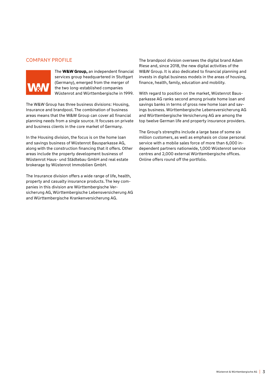# COMPANY PROFILE



The **W&W Group,** an independent financial services group headquartered in Stuttgart (Germany), emerged from the merger of the two long-established companies Wüstenrot and Württembergische in 1999.

The W&W Group has three business divisions: Housing, Insurance and brandpool. The combination of business areas means that the W&W Group can cover all financial planning needs from a single source. It focuses on private and business clients in the core market of Germany.

In the Housing division, the focus is on the home loan and savings business of Wüstenrot Bausparkasse AG, along with the construction financing that it offers. Other areas include the property development business of Wüstenrot Haus- und Städtebau GmbH and real estate brokerage by Wüstenrot Immobilien GmbH.

The Insurance division offers a wide range of life, health, property and casualty insurance products. The key companies in this division are Württembergische Versicherung AG, Württembergische Lebensversicherung AG and Württembergische Krankenversicherung AG.

The brandpool division oversees the digital brand Adam Riese and, since 2018, the new digital activities of the W&W Group. It is also dedicated to financial planning and invests in digital business models in the areas of housing, finance, health, family, education and mobility.

With regard to position on the market, Wüstenrot Bausparkasse AG ranks second among private home loan and savings banks in terms of gross new home loan and savings business. Württembergische Lebensversicherung AG and Württembergische Versicherung AG are among the top twelve German life and property insurance providers.

The Group's strengths include a large base of some six million customers, as well as emphasis on close personal service with a mobile sales force of more than 6,000 independent partners nationwide, 1,000 Wüstenrot service centres and 2,000 external Württembergische offices. Online offers round off the portfolio.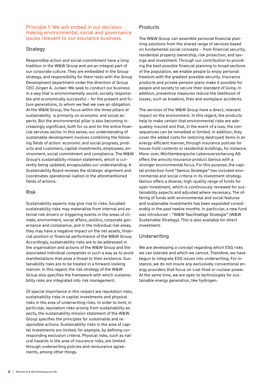#### Principle 1: We will embed in our decisionmaking environmental, social and governance issues relevant to our insurance business.

# **Strategy**

Responsible action and social commitment have a long tradition in the W&W Group and are an integral part of our corporate culture. They are embedded in the Group strategy, and responsibility for them rests with the Group Development department under the direction of Group CEO Jürgen A. Junker. We seek to conduct our business in a way that is environmentally sound, socially responsible and economically successful – for the present and future generations, to whom we feel we owe an obligation. At the W&W Group, the focus within the three pillars of sustainability is primarily on economic and social aspects. But the environmental pillar is also becoming increasingly significant, both for us and for the entire financial services sector. In this sense, our understanding of sustainable development involves combining the following fields of action: economic and social progress, products and customers, capital investments, employees, environment, social commitment and compliance. The W&W Group's sustainability mission statement, which is currently being updated, encapsulates our understanding. A Sustainability Board reviews the strategic alignment and coordinates operational-isation in the aforementioned fields of actions.

#### Risk

Sustainability aspects may give rise to risks. Socalled sustainability risks may materialise from internal and external risk drivers or triggering events in the areas of climate, environment, social affairs, politics, corporate governance and compliance, and in the individual risk areas, they may have a negative impact on the net assets, financial position or financial performance of the W&W Group. Accordingly, sustainability risks are to be addressed in the organisation and actions of the W&W Group and the associated individual companies in such a way as to avoid manifestations that pose a threat to their existence. Sustainability risks are to be treated in a forward-looking manner. In this regard, the risk strategy of the W&W Group also specifies the framework with which sustainability risks are integrated into risk management.

Of special importance in this respect are reputation risks, sustainability risks in capital investments and physical risks in the area of underwriting risks. In order to limit, in particular, reputation risks arising from sustainability aspects, the sustainability mission statement of the W&W Group specifies the principles for sustainable and responsible actions. Sustainability risks in the area of capital investments are limited, for example, by defining corresponding exclusion criteria. Physical risks, such as natural hazards in the area of insurance risks, are limited through underwriting policies and reinsurance agreements, among other things.

# Products

The W&W Group can assemble personal financial planning solutions from the shared range of services based on fundamental social concepts – from financial security, residential property ownership, risk protection, and savings and investment. Through our contribution to providing the best possible financial planning to broad sections of the population, we enable people to enjoy personal freedom with the greatest possible security. Insurance products and private pension plans make it possible for people and society to secure their standard of living. In addition, preventive measures reduce the likelihood of losses, such as breakins, fires and workplace accidents.

The services of the W&W Group have a direct, relevant impact on the environment. In this regard, the products help to make certain that environmental risks are adequately insured and that, in the event of a loss, the consequences can be remedied or limited. In addition, they cover the added costs for restoring destroyed items in an energy-efficient manner, through insurance policies for house-hold contents or residential buildings, for instance. More-over, Württembergische Lebensversicherung AG offers the annuity insurance product Genius with a stronger environmental focus. For this purpose, the capital protection fund "Genius Strategie" has included environmental and social criteria in its investment strategy. Genius offers a diverse, high-quality range of funds for open investment, which is continuously reviewed for sustainability aspects and adjusted where necessary. The offering of funds with environmental and social features and sustainable investments has been expanded considerably in the past twelve months. In particular, a new fund was introduced – "W&W Nachhaltige Strategie" (W&W Sustainable Strategy). This is also available for direct investment.

# Underwriting

We are developing a concept regarding which ESG risks we can tolerate and which we cannot. Therefore, we have begun to integrate ESG issues into underwriting. For instance, we do not insure any exclusively conventional energy providers that focus on coal-fired or nuclear power. At the same time, we are open to technologies for sustainable energy generation, like hydrogen.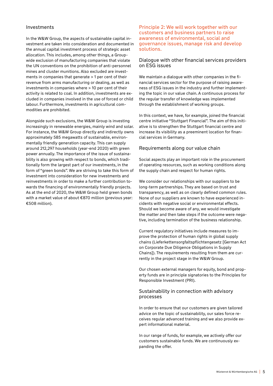#### Investments

In the W&W Group, the aspects of sustainable capital investment are taken into consideration and documented in the annual capital investment process of strategic asset allocation. This includes, among other things, a Groupwide exclusion of manufacturing companies that violate the UN conventions on the prohibition of anti-personnel mines and cluster munitions. Also excluded are investments in companies that generate > 1 per cent of their revenue from arms manufacturing or dealing, as well as investments in companies where > 10 per cent of their activity is related to coal. In addition, investments are excluded in companies involved in the use of forced or child labour. Furthermore, investments in agricultural commodities are prohibited.

Alongside such exclusions, the W&W Group is investing increasingly in renewable energies, mainly wind and solar. For instance, the W&W Group directly and indirectly owns approximately 585 megawatts of sustainable, environmentally friendly generation capacity. This can supply around 212,297 households (year-end 2020) with green power annually. The importance of the issue of sustainability is also growing with respect to bonds, which traditionally form the largest part of our investments, in the form of "green bonds". We are striving to take this form of investment into consideration for new investments and reinvestments in order to make a further contribution towards the financing of environmentally friendly projects. As at the end of 2020, the W&W Group held green bonds with a market value of about €870 million (previous year: €508 million).

#### Principle 2: We will work together with our customers and business partners to raise awareness of environmental, social and governance issues, manage risk and develop solutions.

#### Dialogue with other financial services providers on ESG issues

We maintain a dialogue with other companies in the financial services sector for the purpose of raising awareness of ESG issues in the industry and further implementing the topic in our value chain. A continuous process for the regular transfer of knowledge was implemented through the establishment of working groups.

In this context, we have, for example, joined the financial centre initiative "Stuttgart Financial". The aim of this initiative is to strengthen the Stuttgart financial centre and increase its visibility as a preeminent location for financial services in Germany.

### Requirements along our value chain

Social aspects play an important role in the procurement of operating resources, such as working conditions along the supply chain and respect for human rights.

We consider our relationships with our suppliers to be long-term partnerships. They are based on trust and transparency, as well as on clearly defined common rules. None of our suppliers are known to have experienced incidents with negative social or environmental effects. Should we become aware of any, we would investigate the matter and then take steps if the outcome were negative, including termination of the business relationship.

Current regulatory initiatives include measures to improve the protection of human rights in global supply chains (Lieferkettensorgfaltspflichtengesetz [German Act on Corporate Due Diligence Obligations in Supply Chains]). The requirements resulting from them are currently in the project stage in the W&W Group.

Our chosen external managers for equity, bond and property funds are in principle signatories to the Principles for Responsible Investment (PRI).

#### Sustainability in connection with advisory processes

In order to ensure that our customers are given tailored advice on the topic of sustainability, our sales force receives regular advanced training and we also provide expert informational material.

In our range of funds, for example, we actively offer our customers sustainable funds. We are continuously expanding the offer.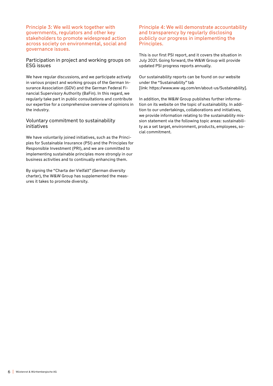Principle 3: We will work together with governments, regulators and other key stakeholders to promote widespread action across society on environmental, social and governance issues.

#### Participation in project and working groups on ESG issues

We have regular discussions, and we participate actively in various project and working groups of the German Insurance Association (GDV) and the German Federal Financial Supervisory Authority (BaFin). In this regard, we regularly take part in public consultations and contribute our expertise for a comprehensive overview of opinions in the industry.

#### Voluntary commitment to sustainability initiatives

We have voluntarily joined initiatives, such as the Principles for Sustainable Insurance (PSI) and the Principles for Responsible Investment (PRI), and we are committed to implementing sustainable principles more strongly in our business activities and to continually enhancing them.

By signing the "Charta der Vielfalt" (German diversity charter), the W&W Group has supplemented the measures it takes to promote diversity.

#### Principle 4: We will demonstrate accountability and transparency by regularly disclosing publicly our progress in implementing the Principles.

This is our first PSI report, and it covers the situation in July 2021. Going forward, the W&W Group will provide updated PSI progress reports annually.

Our sustainability reports can be found on our website under the "Sustainability" tab [link: https://www.ww-ag.com/en/about-us/Sustainability].

In addition, the W&W Group publishes further information on its website on the topic of sustainability. In addition to our undertakings, collaborations and initiatives, we provide information relating to the sustainability mission statement via the following topic areas: sustainability as a set target, environment, products, employees, social commitment.